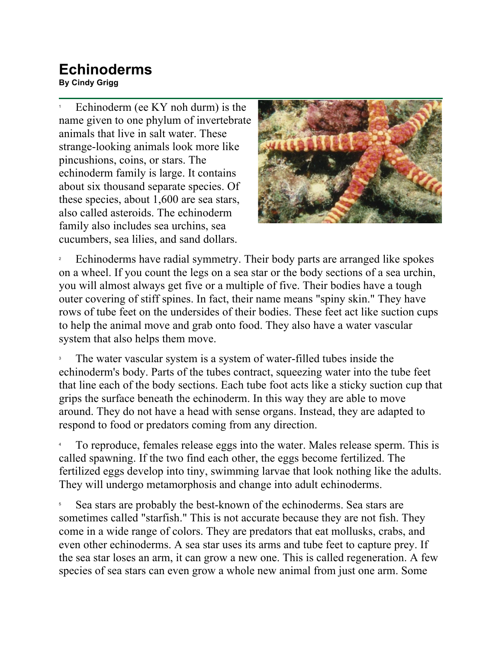## **Echinoderms By Cindy Grigg**<br>By Cindy Grigg

1 Echinoderm (ee KY noh durm) is the name given to one phylum of invertebrate animals that live in salt water. These strange-looking animals look more like pincushions, coins, or stars. The echinoderm family is large. It contains about six thousand separate species. Of these species, about 1,600 are sea stars, also called asteroids. The echinoderm family also includes sea urchins, sea cucumbers, sea lilies, and sand dollars.



2 Echinoderms have radial symmetry. Their body parts are arranged like spokes on a wheel. If you count the legs on a sea star or the body sections of a sea urchin, you will almost always get five or a multiple of five. Their bodies have a tough outer covering of stiff spines. In fact, their name means "spiny skin." They have rows of tube feet on the undersides of their bodies. These feet act like suction cups to help the animal move and grab onto food. They also have a water vascular system that also helps them move.

3 The water vascular system is a system of water-filled tubes inside the echinoderm's body. Parts of the tubes contract, squeezing water into the tube feet that line each of the body sections. Each tube foot acts like a sticky suction cup that grips the surface beneath the echinoderm. In this way they are able to move around. They do not have a head with sense organs. Instead, they are adapted to respond to food or predators coming from any direction.

4 To reproduce, females release eggs into the water. Males release sperm. This is called spawning. If the two find each other, the eggs become fertilized. The fertilized eggs develop into tiny, swimming larvae that look nothing like the adults. They will undergo metamorphosis and change into adult echinoderms.

5 Sea stars are probably the best-known of the echinoderms. Sea stars are sometimes called "starfish." This is not accurate because they are not fish. They come in a wide range of colors. They are predators that eat mollusks, crabs, and even other echinoderms. A sea star uses its arms and tube feet to capture prey. If the sea star loses an arm, it can grow a new one. This is called regeneration. A few species of sea stars can even grow a whole new animal from just one arm. Some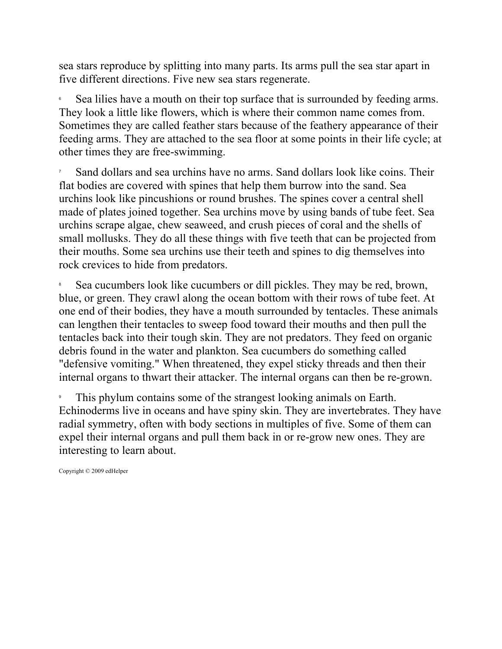sea stars reproduce by splitting into many parts. Its arms pull the sea star apart in five different directions. Five new sea stars regenerate.

6 Sea lilies have a mouth on their top surface that is surrounded by feeding arms. They look a little like flowers, which is where their common name comes from. Sometimes they are called feather stars because of the feathery appearance of their feeding arms. They are attached to the sea floor at some points in their life cycle; at other times they are free-swimming.

7 Sand dollars and sea urchins have no arms. Sand dollars look like coins. Their flat bodies are covered with spines that help them burrow into the sand. Sea urchins look like pincushions or round brushes. The spines cover a central shell made of plates joined together. Sea urchins move by using bands of tube feet. Sea urchins scrape algae, chew seaweed, and crush pieces of coral and the shells of small mollusks. They do all these things with five teeth that can be projected from their mouths. Some sea urchins use their teeth and spines to dig themselves into rock crevices to hide from predators.

8 Sea cucumbers look like cucumbers or dill pickles. They may be red, brown, blue, or green. They crawl along the ocean bottom with their rows of tube feet. At one end of their bodies, they have a mouth surrounded by tentacles. These animals can lengthen their tentacles to sweep food toward their mouths and then pull the tentacles back into their tough skin. They are not predators. They feed on organic debris found in the water and plankton. Sea cucumbers do something called "defensive vomiting." When threatened, they expel sticky threads and then their internal organs to thwart their attacker. The internal organs can then be re-grown.

9 This phylum contains some of the strangest looking animals on Earth. Echinoderms live in oceans and have spiny skin. They are invertebrates. They have radial symmetry, often with body sections in multiples of five. Some of them can expel their internal organs and pull them back in or re-grow new ones. They are interesting to learn about.

Copyright © 2009 edHelper